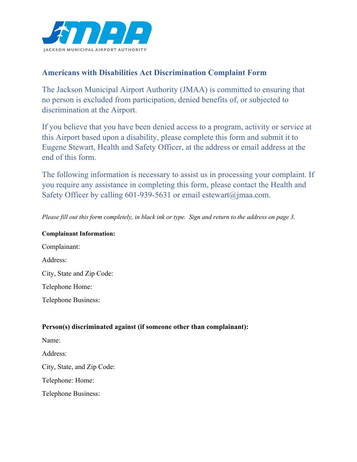

## **Americans with Disabilities Act Discrimination Complaint Form**

The Jackson Municipal Airport Authority (JMAA) is committed to ensuring that no person is excluded from participation, denied benefits of, or subjected to discrimination at the Airport.

If you believe that you have been denied access to a program, activity or service at this Airport based upon a disability, please complete this form and submit it to Eugene Stewart, Health and Safety Officer, at the address or email address at the end of this form.

The following information is necessary to assist us in processing your complaint. If you require any assistance in completing this form, please contact the Health and Safety Officer by calling 601-939-5631 or email estewart@jmaa.com.

*Please fill out this form completely, in black ink or type. Sign and return to the address on page 3.*

## **Complainant Information:**

Complainant: Address: City, State and Zip Code: Telephone Home: Telephone Business:

## **Person(s) discriminated against (if someone other than complainant):**

Name:

Address:

City, State, and Zip Code:

Telephone: Home:

Telephone Business: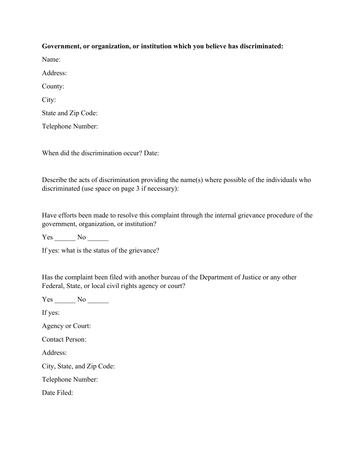## **Government, or organization, or institution which you believe has discriminated:**  Name: Address: County: City: State and Zip Code:

Telephone Number:

When did the discrimination occur? Date:

Describe the acts of discrimination providing the name(s) where possible of the individuals who discriminated (use space on page 3 if necessary):

Have efforts been made to resolve this complaint through the internal grievance procedure of the government, organization, or institution?

Yes No

If yes: what is the status of the grievance?

Has the complaint been filed with another bureau of the Department of Justice or any other Federal, State, or local civil rights agency or court?

Yes \_\_\_\_\_\_\_ No \_\_\_\_\_\_

If yes:

Agency or Court:

Contact Person:

Address:

City, State, and Zip Code:

Telephone Number:

Date Filed: